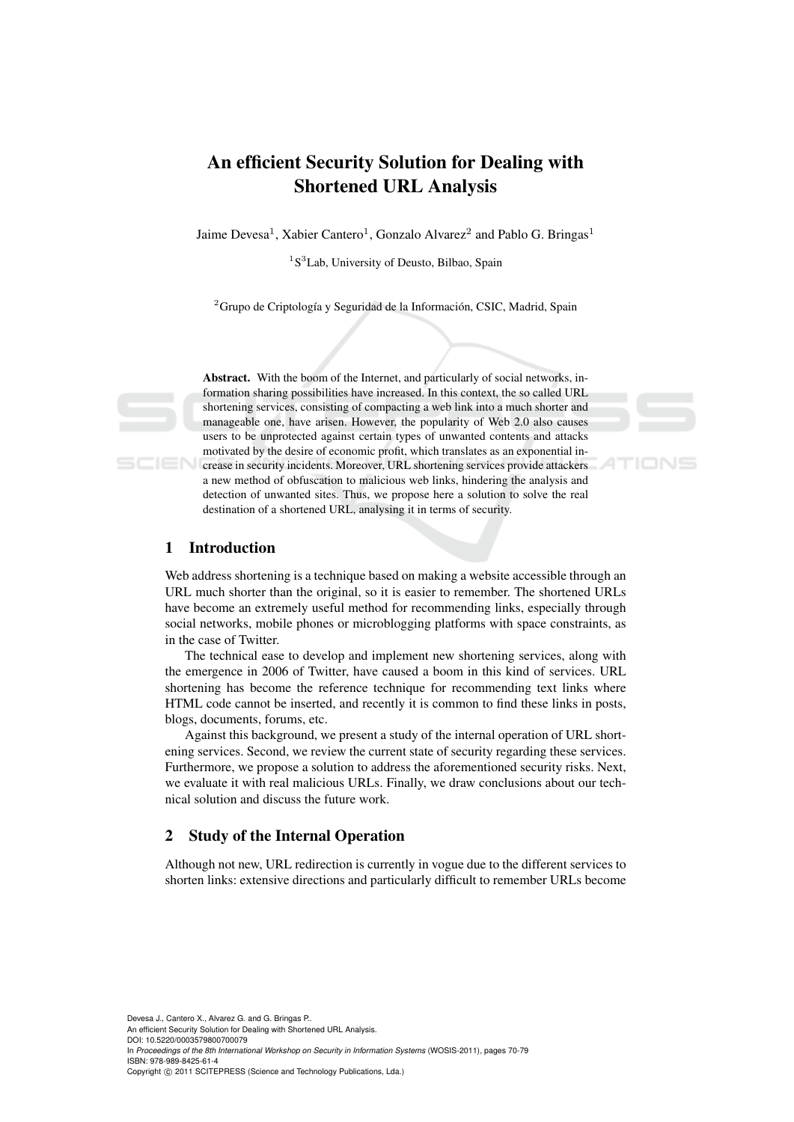# An efficient Security Solution for Dealing with Shortened URL Analysis

Jaime Devesa<sup>1</sup>, Xabier Cantero<sup>1</sup>, Gonzalo Alvarez<sup>2</sup> and Pablo G. Bringas<sup>1</sup>

<sup>1</sup>S<sup>3</sup>Lab, University of Deusto, Bilbao, Spain

 $2<sup>2</sup>$ Grupo de Criptología y Seguridad de la Información, CSIC, Madrid, Spain

Abstract. With the boom of the Internet, and particularly of social networks, information sharing possibilities have increased. In this context, the so called URL shortening services, consisting of compacting a web link into a much shorter and manageable one, have arisen. However, the popularity of Web 2.0 also causes users to be unprotected against certain types of unwanted contents and attacks motivated by the desire of economic profit, which translates as an exponential increase in security incidents. Moreover, URL shortening services provide attackers a new method of obfuscation to malicious web links, hindering the analysis and detection of unwanted sites. Thus, we propose here a solution to solve the real destination of a shortened URL, analysing it in terms of security.

# 1 Introduction

Web address shortening is a technique based on making a website accessible through an URL much shorter than the original, so it is easier to remember. The shortened URLs have become an extremely useful method for recommending links, especially through social networks, mobile phones or microblogging platforms with space constraints, as in the case of Twitter.

The technical ease to develop and implement new shortening services, along with the emergence in 2006 of Twitter, have caused a boom in this kind of services. URL shortening has become the reference technique for recommending text links where HTML code cannot be inserted, and recently it is common to find these links in posts, blogs, documents, forums, etc.

Against this background, we present a study of the internal operation of URL shortening services. Second, we review the current state of security regarding these services. Furthermore, we propose a solution to address the aforementioned security risks. Next, we evaluate it with real malicious URLs. Finally, we draw conclusions about our technical solution and discuss the future work.

# 2 Study of the Internal Operation

Although not new, URL redirection is currently in vogue due to the different services to shorten links: extensive directions and particularly difficult to remember URLs become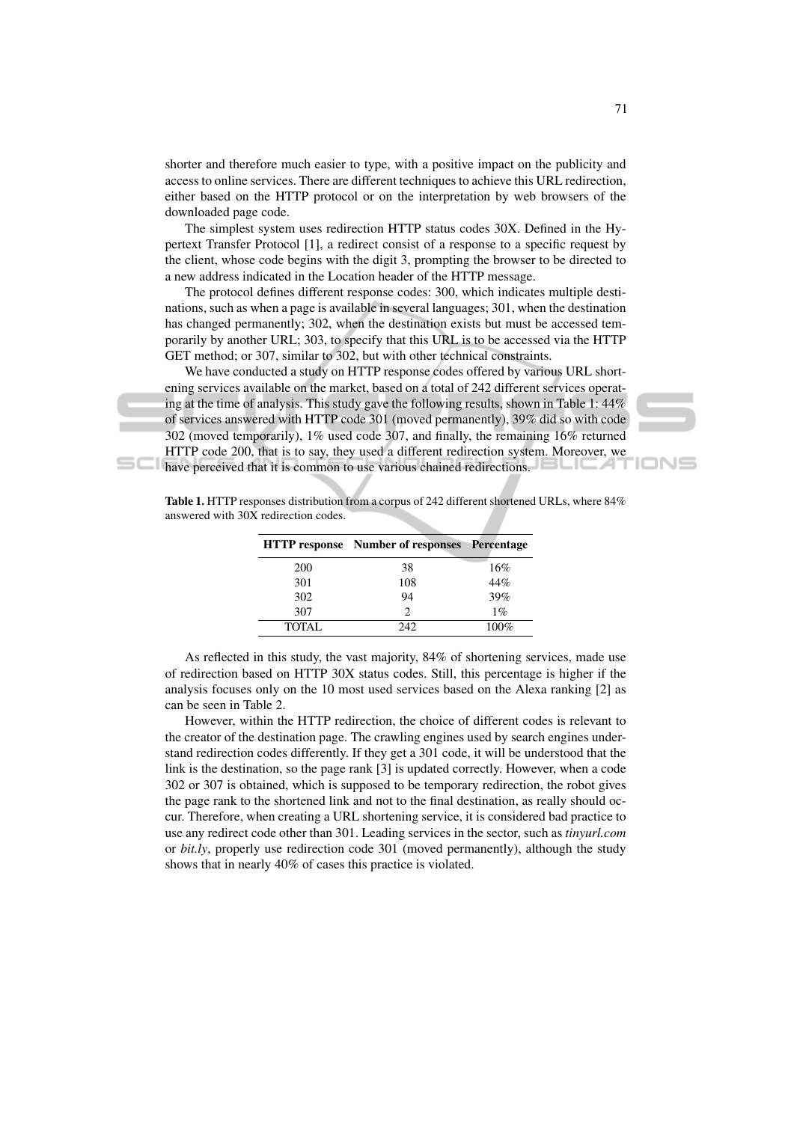shorter and therefore much easier to type, with a positive impact on the publicity and access to online services. There are different techniques to achieve this URL redirection, either based on the HTTP protocol or on the interpretation by web browsers of the downloaded page code.

The simplest system uses redirection HTTP status codes 30X. Defined in the Hypertext Transfer Protocol [1], a redirect consist of a response to a specific request by the client, whose code begins with the digit 3, prompting the browser to be directed to a new address indicated in the Location header of the HTTP message.

The protocol defines different response codes: 300, which indicates multiple destinations, such as when a page is available in several languages; 301, when the destination has changed permanently; 302, when the destination exists but must be accessed temporarily by another URL; 303, to specify that this URL is to be accessed via the HTTP GET method; or 307, similar to 302, but with other technical constraints.

We have conducted a study on HTTP response codes offered by various URL shortening services available on the market, based on a total of 242 different services operating at the time of analysis. This study gave the following results, shown in Table 1: 44% of services answered with HTTP code 301 (moved permanently), 39% did so with code 302 (moved temporarily), 1% used code 307, and finally, the remaining 16% returned HTTP code 200, that is to say, they used a different redirection system. Moreover, we

have perceived that it is common to use various chained redirections.

|        | <b>HTTP</b> response Number of responses Percentage |         |
|--------|-----------------------------------------------------|---------|
| 200    | 38                                                  | 16%     |
| 301    | 108                                                 | 44%     |
| 302    | 94                                                  | 39%     |
| 307    | $\mathcal{D}_{\mathcal{A}}$                         | $1\%$   |
| TOTAL. | 242                                                 | $100\%$ |

Table 1. HTTP responses distribution from a corpus of 242 different shortened URLs, where 84% answered with 30X redirection codes.

As reflected in this study, the vast majority, 84% of shortening services, made use of redirection based on HTTP 30X status codes. Still, this percentage is higher if the analysis focuses only on the 10 most used services based on the Alexa ranking [2] as can be seen in Table 2.

However, within the HTTP redirection, the choice of different codes is relevant to the creator of the destination page. The crawling engines used by search engines understand redirection codes differently. If they get a 301 code, it will be understood that the link is the destination, so the page rank [3] is updated correctly. However, when a code 302 or 307 is obtained, which is supposed to be temporary redirection, the robot gives the page rank to the shortened link and not to the final destination, as really should occur. Therefore, when creating a URL shortening service, it is considered bad practice to use any redirect code other than 301. Leading services in the sector, such as *tinyurl.com* or *bit.ly*, properly use redirection code 301 (moved permanently), although the study shows that in nearly 40% of cases this practice is violated.



IONS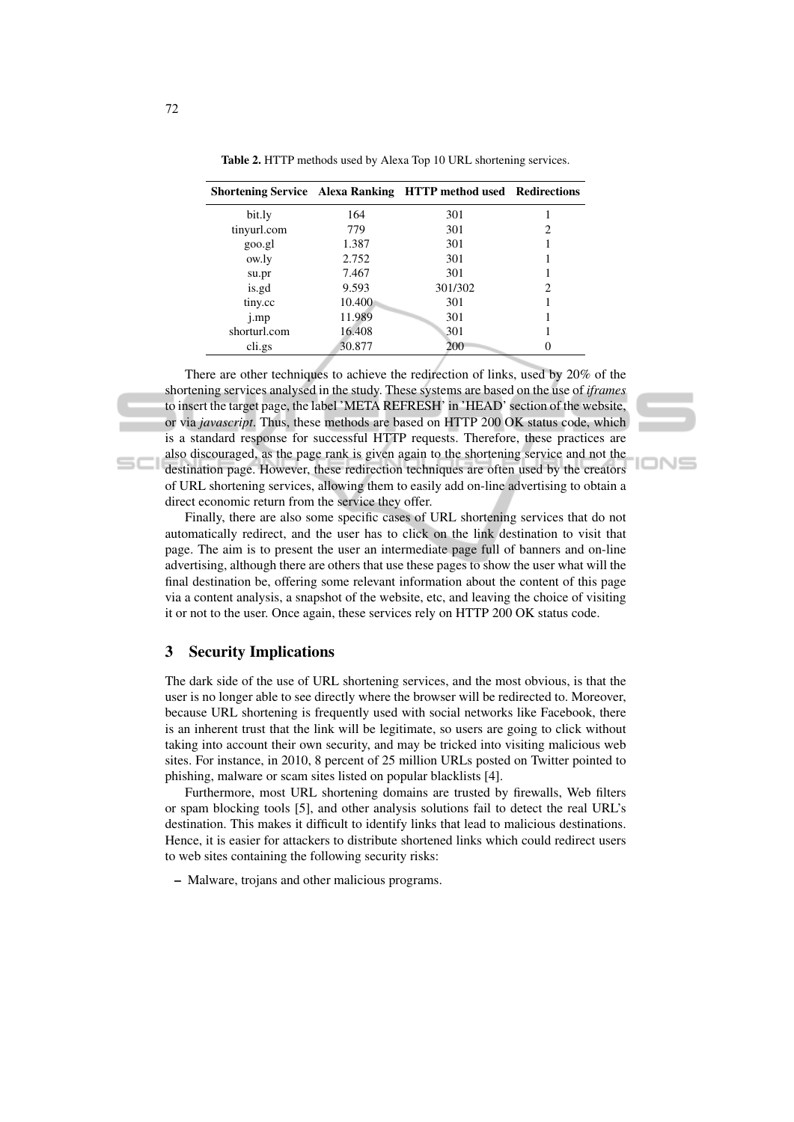|              |        | <b>Shortening Service</b> Alexa Ranking HTTP method used Redirections |   |
|--------------|--------|-----------------------------------------------------------------------|---|
| bit.ly       | 164    | 301                                                                   |   |
| tinyurl.com  | 779    | 301                                                                   | 2 |
| goo.gl       | 1.387  | 301                                                                   |   |
| ow.ly        | 2.752  | 301                                                                   |   |
| su.pr        | 7.467  | 301                                                                   |   |
| is.gd        | 9.593  | 301/302                                                               | 2 |
| tiny.cc      | 10.400 | 301                                                                   |   |
| j.mp         | 11.989 | 301                                                                   |   |
| shorturl.com | 16.408 | 301                                                                   |   |
| cli.gs       | 30.877 | 200                                                                   |   |

Table 2. HTTP methods used by Alexa Top 10 URL shortening services.

There are other techniques to achieve the redirection of links, used by 20% of the shortening services analysed in the study. These systems are based on the use of *iframes* to insert the target page, the label 'META REFRESH' in 'HEAD' section of the website, or via *javascript*. Thus, these methods are based on HTTP 200 OK status code, which is a standard response for successful HTTP requests. Therefore, these practices are also discouraged, as the page rank is given again to the shortening service and not the destination page. However, these redirection techniques are often used by the creators of URL shortening services, allowing them to easily add on-line advertising to obtain a direct economic return from the service they offer.

oN⊆

Finally, there are also some specific cases of URL shortening services that do not automatically redirect, and the user has to click on the link destination to visit that page. The aim is to present the user an intermediate page full of banners and on-line advertising, although there are others that use these pages to show the user what will the final destination be, offering some relevant information about the content of this page via a content analysis, a snapshot of the website, etc, and leaving the choice of visiting it or not to the user. Once again, these services rely on HTTP 200 OK status code.

### 3 Security Implications

The dark side of the use of URL shortening services, and the most obvious, is that the user is no longer able to see directly where the browser will be redirected to. Moreover, because URL shortening is frequently used with social networks like Facebook, there is an inherent trust that the link will be legitimate, so users are going to click without taking into account their own security, and may be tricked into visiting malicious web sites. For instance, in 2010, 8 percent of 25 million URLs posted on Twitter pointed to phishing, malware or scam sites listed on popular blacklists [4].

Furthermore, most URL shortening domains are trusted by firewalls, Web filters or spam blocking tools [5], and other analysis solutions fail to detect the real URL's destination. This makes it difficult to identify links that lead to malicious destinations. Hence, it is easier for attackers to distribute shortened links which could redirect users to web sites containing the following security risks:

– Malware, trojans and other malicious programs.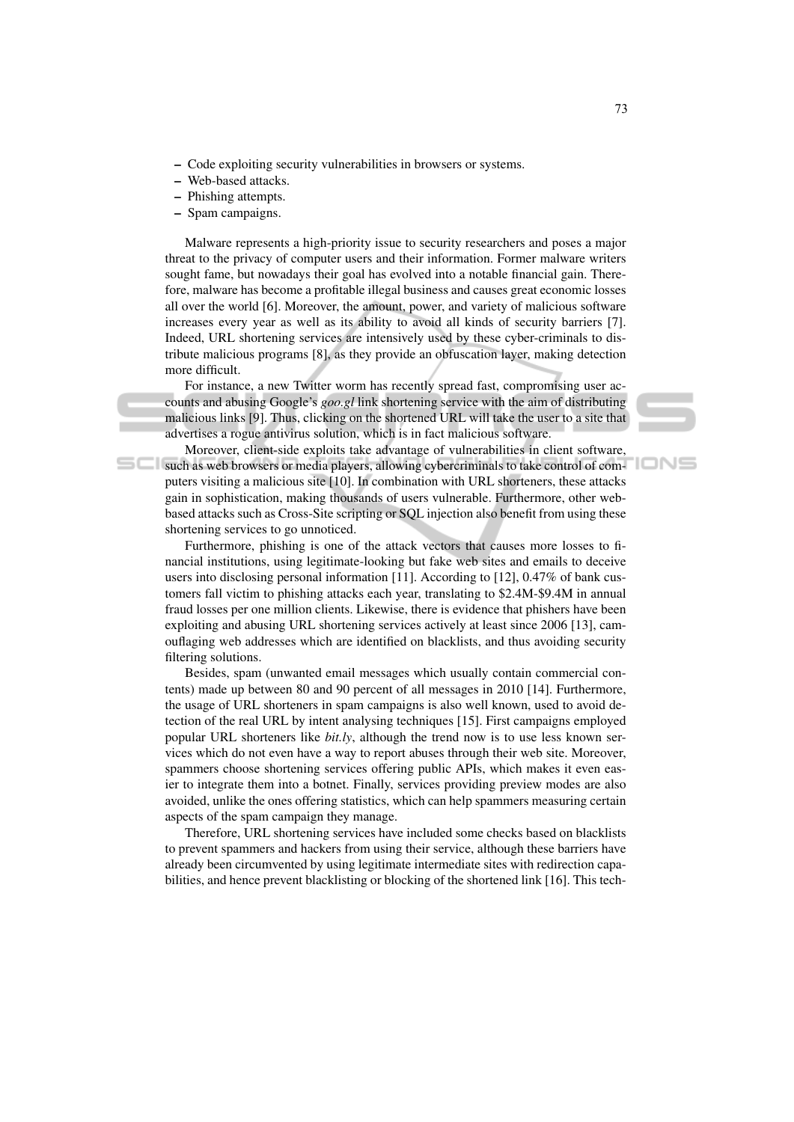- Code exploiting security vulnerabilities in browsers or systems.
- Web-based attacks.
- Phishing attempts.
- Spam campaigns.

Malware represents a high-priority issue to security researchers and poses a major threat to the privacy of computer users and their information. Former malware writers sought fame, but nowadays their goal has evolved into a notable financial gain. Therefore, malware has become a profitable illegal business and causes great economic losses all over the world [6]. Moreover, the amount, power, and variety of malicious software increases every year as well as its ability to avoid all kinds of security barriers [7]. Indeed, URL shortening services are intensively used by these cyber-criminals to distribute malicious programs [8], as they provide an obfuscation layer, making detection more difficult.

For instance, a new Twitter worm has recently spread fast, compromising user accounts and abusing Google's *goo.gl* link shortening service with the aim of distributing malicious links [9]. Thus, clicking on the shortened URL will take the user to a site that advertises a rogue antivirus solution, which is in fact malicious software.

Moreover, client-side exploits take advantage of vulnerabilities in client software, such as web browsers or media players, allowing cybercriminals to take control of computers visiting a malicious site [10]. In combination with URL shorteners, these attacks gain in sophistication, making thousands of users vulnerable. Furthermore, other webbased attacks such as Cross-Site scripting or SQL injection also benefit from using these shortening services to go unnoticed.

Furthermore, phishing is one of the attack vectors that causes more losses to financial institutions, using legitimate-looking but fake web sites and emails to deceive users into disclosing personal information [11]. According to [12], 0.47% of bank customers fall victim to phishing attacks each year, translating to \$2.4M-\$9.4M in annual fraud losses per one million clients. Likewise, there is evidence that phishers have been exploiting and abusing URL shortening services actively at least since 2006 [13], camouflaging web addresses which are identified on blacklists, and thus avoiding security filtering solutions.

Besides, spam (unwanted email messages which usually contain commercial contents) made up between 80 and 90 percent of all messages in 2010 [14]. Furthermore, the usage of URL shorteners in spam campaigns is also well known, used to avoid detection of the real URL by intent analysing techniques [15]. First campaigns employed popular URL shorteners like *bit.ly*, although the trend now is to use less known services which do not even have a way to report abuses through their web site. Moreover, spammers choose shortening services offering public APIs, which makes it even easier to integrate them into a botnet. Finally, services providing preview modes are also avoided, unlike the ones offering statistics, which can help spammers measuring certain aspects of the spam campaign they manage.

Therefore, URL shortening services have included some checks based on blacklists to prevent spammers and hackers from using their service, although these barriers have already been circumvented by using legitimate intermediate sites with redirection capabilities, and hence prevent blacklisting or blocking of the shortened link [16]. This tech-

IONS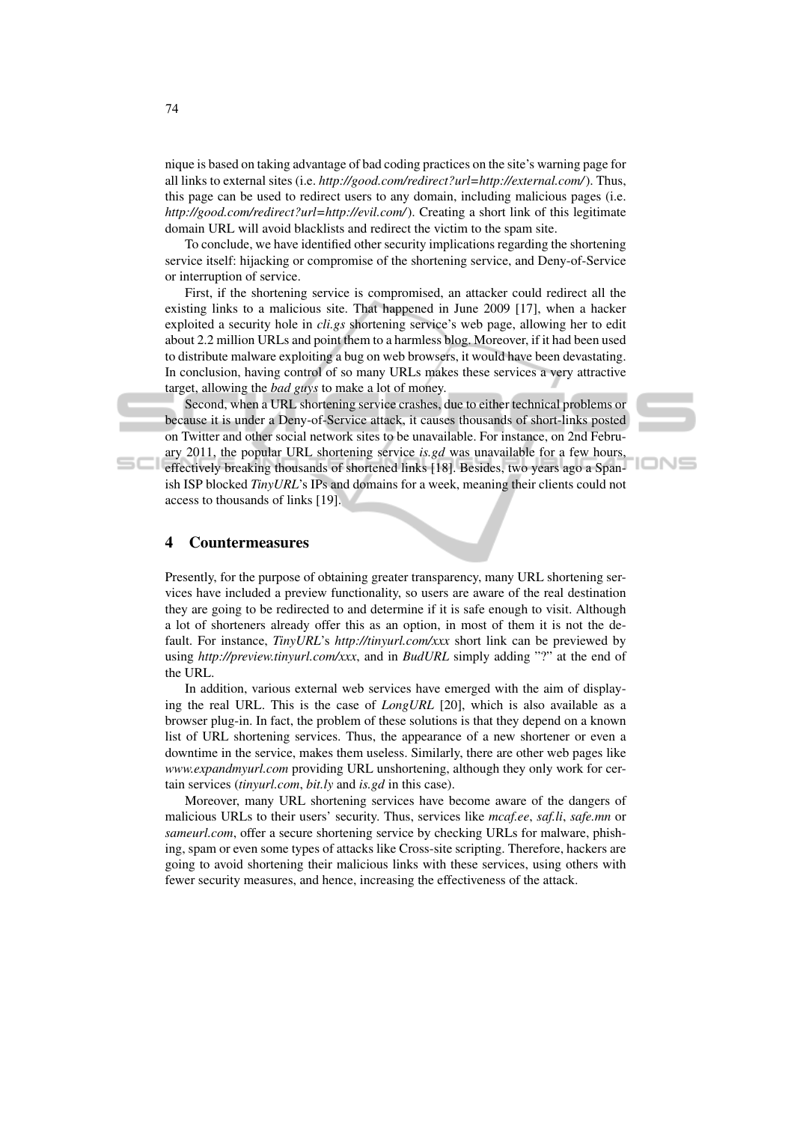nique is based on taking advantage of bad coding practices on the site's warning page for all links to external sites (i.e. *http://good.com/redirect?url=http://external.com/*). Thus, this page can be used to redirect users to any domain, including malicious pages (i.e. *http://good.com/redirect?url=http://evil.com/*). Creating a short link of this legitimate domain URL will avoid blacklists and redirect the victim to the spam site.

To conclude, we have identified other security implications regarding the shortening service itself: hijacking or compromise of the shortening service, and Deny-of-Service or interruption of service.

First, if the shortening service is compromised, an attacker could redirect all the existing links to a malicious site. That happened in June 2009 [17], when a hacker exploited a security hole in *cli.gs* shortening service's web page, allowing her to edit about 2.2 million URLs and point them to a harmless blog. Moreover, if it had been used to distribute malware exploiting a bug on web browsers, it would have been devastating. In conclusion, having control of so many URLs makes these services a very attractive target, allowing the *bad guys* to make a lot of money.

Second, when a URL shortening service crashes, due to either technical problems or because it is under a Deny-of-Service attack, it causes thousands of short-links posted on Twitter and other social network sites to be unavailable. For instance, on 2nd February 2011, the popular URL shortening service *is.gd* was unavailable for a few hours, effectively breaking thousands of shortened links [18]. Besides, two years ago a Spanish ISP blocked *TinyURL*'s IPs and domains for a week, meaning their clients could not access to thousands of links [19].

IONS

#### 4 Countermeasures

Presently, for the purpose of obtaining greater transparency, many URL shortening services have included a preview functionality, so users are aware of the real destination they are going to be redirected to and determine if it is safe enough to visit. Although a lot of shorteners already offer this as an option, in most of them it is not the default. For instance, *TinyURL*'s *http://tinyurl.com/xxx* short link can be previewed by using *http://preview.tinyurl.com/xxx*, and in *BudURL* simply adding "?" at the end of the URL.

In addition, various external web services have emerged with the aim of displaying the real URL. This is the case of *LongURL* [20], which is also available as a browser plug-in. In fact, the problem of these solutions is that they depend on a known list of URL shortening services. Thus, the appearance of a new shortener or even a downtime in the service, makes them useless. Similarly, there are other web pages like *www.expandmyurl.com* providing URL unshortening, although they only work for certain services (*tinyurl.com*, *bit.ly* and *is.gd* in this case).

Moreover, many URL shortening services have become aware of the dangers of malicious URLs to their users' security. Thus, services like *mcaf.ee*, *saf.li*, *safe.mn* or *sameurl.com*, offer a secure shortening service by checking URLs for malware, phishing, spam or even some types of attacks like Cross-site scripting. Therefore, hackers are going to avoid shortening their malicious links with these services, using others with fewer security measures, and hence, increasing the effectiveness of the attack.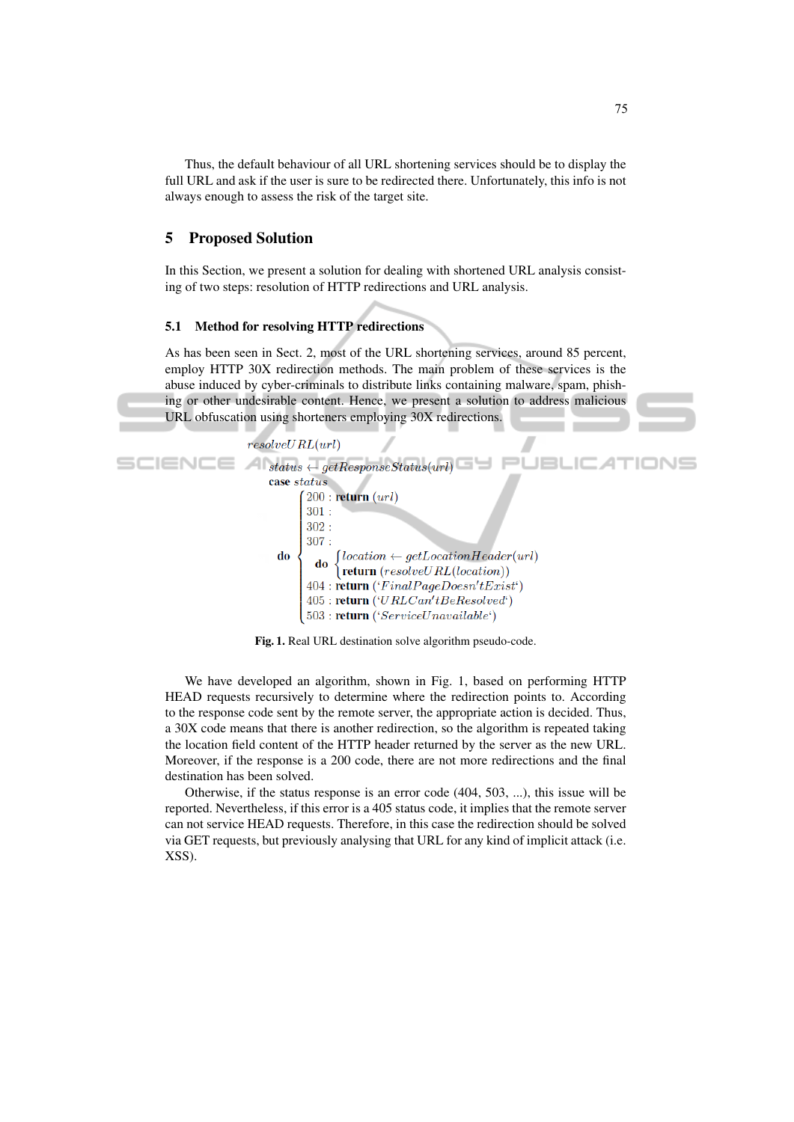Thus, the default behaviour of all URL shortening services should be to display the full URL and ask if the user is sure to be redirected there. Unfortunately, this info is not always enough to assess the risk of the target site.

## 5 Proposed Solution

In this Section, we present a solution for dealing with shortened URL analysis consisting of two steps: resolution of HTTP redirections and URL analysis.

## 5.1 Method for resolving HTTP redirections

As has been seen in Sect. 2, most of the URL shortening services, around 85 percent, employ HTTP 30X redirection methods. The main problem of these services is the abuse induced by cyber-criminals to distribute links containing malware, spam, phishing or other undesirable content. Hence, we present a solution to address malicious URL obfuscation using shorteners employing 30X redirections.





We have developed an algorithm, shown in Fig. 1, based on performing HTTP HEAD requests recursively to determine where the redirection points to. According to the response code sent by the remote server, the appropriate action is decided. Thus, a 30X code means that there is another redirection, so the algorithm is repeated taking the location field content of the HTTP header returned by the server as the new URL. Moreover, if the response is a 200 code, there are not more redirections and the final destination has been solved.

Otherwise, if the status response is an error code (404, 503, ...), this issue will be reported. Nevertheless, if this error is a 405 status code, it implies that the remote server can not service HEAD requests. Therefore, in this case the redirection should be solved via GET requests, but previously analysing that URL for any kind of implicit attack (i.e. XSS).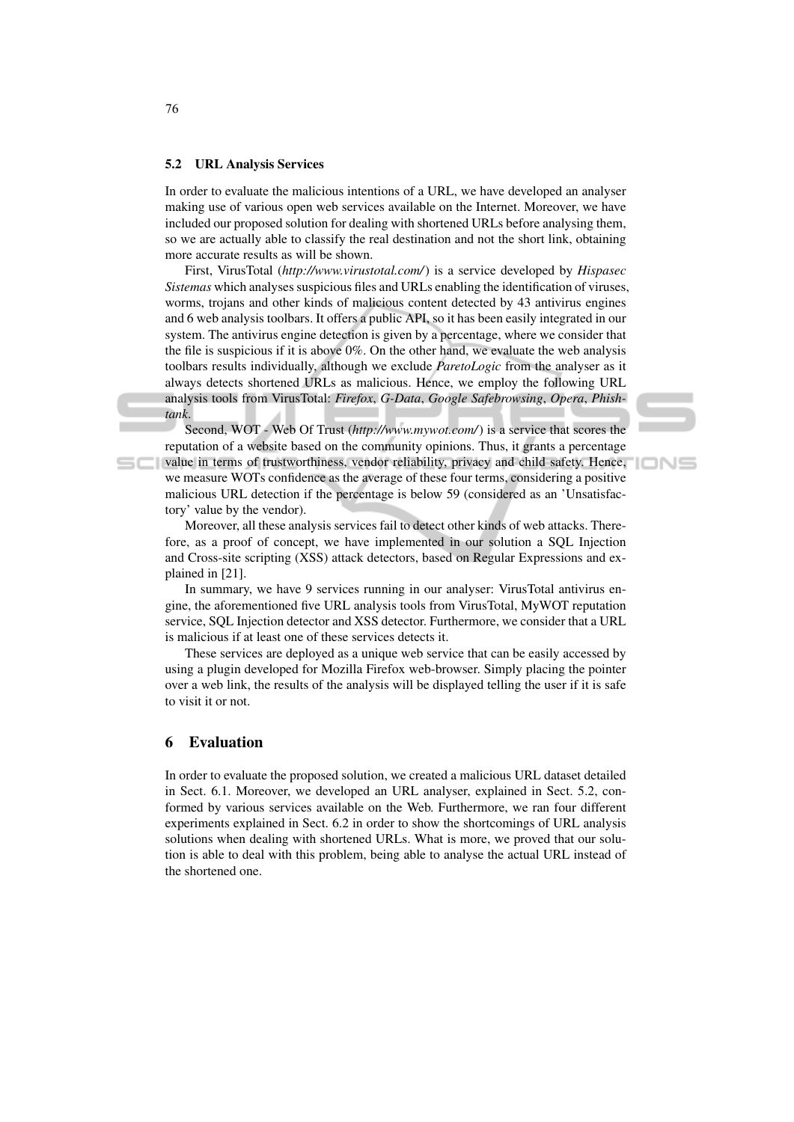#### 5.2 URL Analysis Services

In order to evaluate the malicious intentions of a URL, we have developed an analyser making use of various open web services available on the Internet. Moreover, we have included our proposed solution for dealing with shortened URLs before analysing them, so we are actually able to classify the real destination and not the short link, obtaining more accurate results as will be shown.

First, VirusTotal (*http://www.virustotal.com/*) is a service developed by *Hispasec Sistemas* which analyses suspicious files and URLs enabling the identification of viruses, worms, trojans and other kinds of malicious content detected by 43 antivirus engines and 6 web analysis toolbars. It offers a public API, so it has been easily integrated in our system. The antivirus engine detection is given by a percentage, where we consider that the file is suspicious if it is above  $0\%$ . On the other hand, we evaluate the web analysis toolbars results individually, although we exclude *ParetoLogic* from the analyser as it always detects shortened URLs as malicious. Hence, we employ the following URL analysis tools from VirusTotal: *Firefox*, *G-Data*, *Google Safebrowsing*, *Opera*, *Phishtank*.

Second, WOT - Web Of Trust (*http://www.mywot.com/*) is a service that scores the reputation of a website based on the community opinions. Thus, it grants a percentage value in terms of trustworthiness, vendor reliability, privacy and child safety. Hence, we measure WOTs confidence as the average of these four terms, considering a positive malicious URL detection if the percentage is below 59 (considered as an 'Unsatisfactory' value by the vendor).

IONS

Moreover, all these analysis services fail to detect other kinds of web attacks. Therefore, as a proof of concept, we have implemented in our solution a SQL Injection and Cross-site scripting (XSS) attack detectors, based on Regular Expressions and explained in [21].

In summary, we have 9 services running in our analyser: VirusTotal antivirus engine, the aforementioned five URL analysis tools from VirusTotal, MyWOT reputation service, SQL Injection detector and XSS detector. Furthermore, we consider that a URL is malicious if at least one of these services detects it.

These services are deployed as a unique web service that can be easily accessed by using a plugin developed for Mozilla Firefox web-browser. Simply placing the pointer over a web link, the results of the analysis will be displayed telling the user if it is safe to visit it or not.

#### 6 Evaluation

In order to evaluate the proposed solution, we created a malicious URL dataset detailed in Sect. 6.1. Moreover, we developed an URL analyser, explained in Sect. 5.2, conformed by various services available on the Web. Furthermore, we ran four different experiments explained in Sect. 6.2 in order to show the shortcomings of URL analysis solutions when dealing with shortened URLs. What is more, we proved that our solution is able to deal with this problem, being able to analyse the actual URL instead of the shortened one.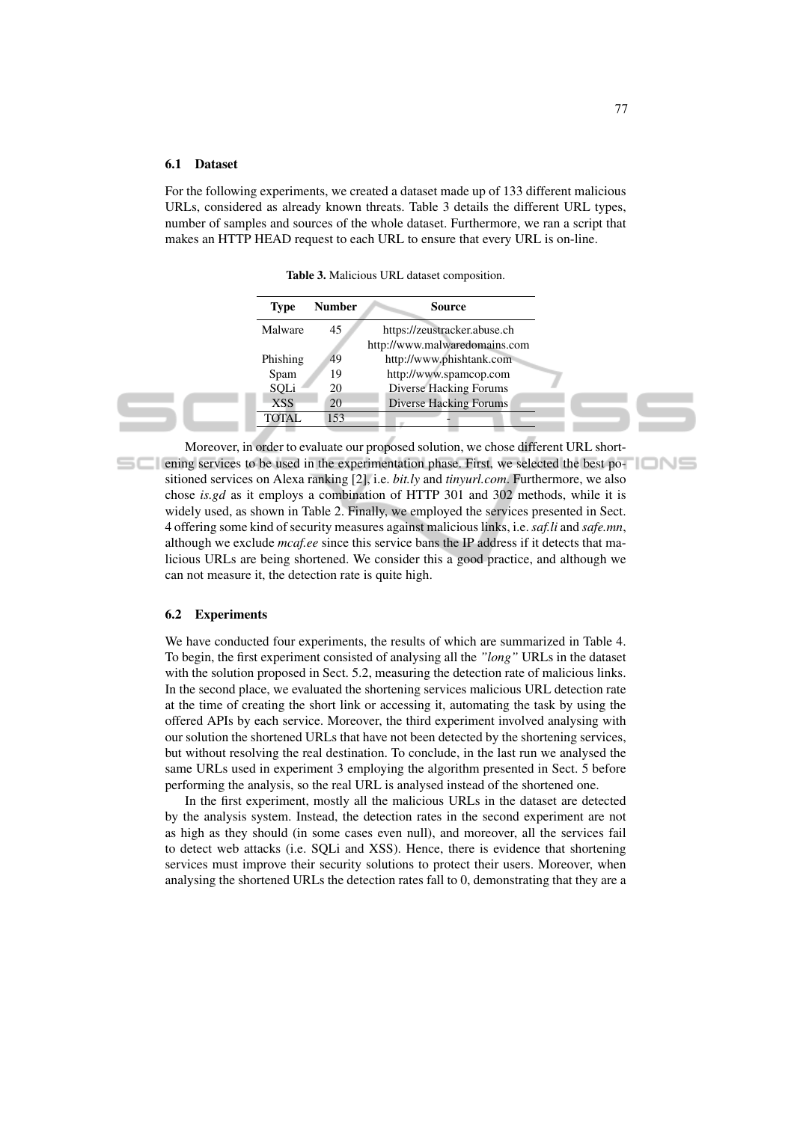#### 6.1 Dataset

For the following experiments, we created a dataset made up of 133 different malicious URLs, considered as already known threats. Table 3 details the different URL types, number of samples and sources of the whole dataset. Furthermore, we ran a script that makes an HTTP HEAD request to each URL to ensure that every URL is on-line.

Table 3. Malicious URL dataset composition.

| <b>Type</b>  | <b>Number</b> | Source                        |  |
|--------------|---------------|-------------------------------|--|
| Malware      | 45            | https://zeustracker.abuse.ch  |  |
|              |               | http://www.malwaredomains.com |  |
| Phishing     | 49            | http://www.phishtank.com      |  |
| Spam         | 19            | http://www.spamcop.com        |  |
| SQLi         | 20            | <b>Diverse Hacking Forums</b> |  |
| <b>XSS</b>   | 20            | Diverse Hacking Forums        |  |
| <b>TOTAL</b> | 153           |                               |  |
|              |               |                               |  |

Moreover, in order to evaluate our proposed solution, we chose different URL shortening services to be used in the experimentation phase. First, we selected the best positioned services on Alexa ranking [2], i.e. *bit.ly* and *tinyurl.com*. Furthermore, we also chose *is.gd* as it employs a combination of HTTP 301 and 302 methods, while it is widely used, as shown in Table 2. Finally, we employed the services presented in Sect. 4 offering some kind of security measures against malicious links, i.e. *saf.li* and *safe.mn*, although we exclude *mcaf.ee* since this service bans the IP address if it detects that malicious URLs are being shortened. We consider this a good practice, and although we can not measure it, the detection rate is quite high.

#### 6.2 Experiments

We have conducted four experiments, the results of which are summarized in Table 4. To begin, the first experiment consisted of analysing all the *"long"* URLs in the dataset with the solution proposed in Sect. 5.2, measuring the detection rate of malicious links. In the second place, we evaluated the shortening services malicious URL detection rate at the time of creating the short link or accessing it, automating the task by using the offered APIs by each service. Moreover, the third experiment involved analysing with our solution the shortened URLs that have not been detected by the shortening services, but without resolving the real destination. To conclude, in the last run we analysed the same URLs used in experiment 3 employing the algorithm presented in Sect. 5 before performing the analysis, so the real URL is analysed instead of the shortened one.

In the first experiment, mostly all the malicious URLs in the dataset are detected by the analysis system. Instead, the detection rates in the second experiment are not as high as they should (in some cases even null), and moreover, all the services fail to detect web attacks (i.e. SQLi and XSS). Hence, there is evidence that shortening services must improve their security solutions to protect their users. Moreover, when analysing the shortened URLs the detection rates fall to 0, demonstrating that they are a

'IONS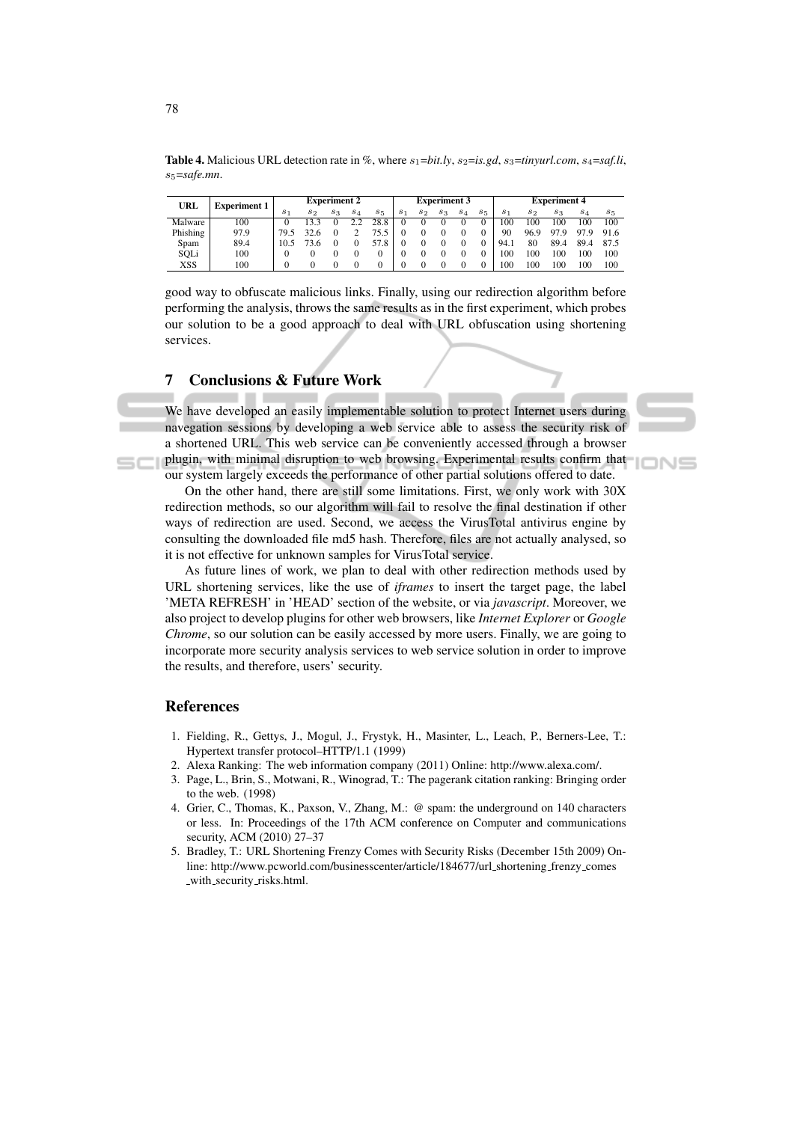| URL      | <b>Experiment 1</b> | <b>Experiment 2</b> |         |       |          | <b>Experiment 3</b> |          |       |       | <b>Experiment 4</b> |       |                |       |          |          |         |
|----------|---------------------|---------------------|---------|-------|----------|---------------------|----------|-------|-------|---------------------|-------|----------------|-------|----------|----------|---------|
|          |                     | S <sub>1</sub>      | $s_{2}$ | $s_3$ | $^{s_4}$ | $s_{5}$             | $s_1$    | $s_2$ | $s_3$ | $s_4$               | $s_5$ | S <sub>1</sub> | $s_2$ | $s_3$    | $^{s_4}$ | $s_{5}$ |
| Malware  | 100                 |                     | 133     |       |          | 28.8                | $_{0}$   | 0     |       |                     |       | 100            | 100   | 100      | 100      | 100     |
| Phishing | 97.9                | 79.5                | 32.6    |       |          | 15.5                | $\theta$ |       |       |                     |       | 90             | 96.9  | 97<br>۰g | 97.9     | 91.6    |
| Spam     | 89.4                | 10.5                | 3.6     |       |          | 57.                 | $_{0}$   |       |       |                     |       | 94.1           | 80    | 89.4     | 89.4     | 87.5    |
| SQLi     | 100                 |                     |         |       |          |                     |          |       |       |                     |       | 100            | 100   | 100      | 100      | 100     |
| XSS      | 100                 |                     |         |       |          |                     |          |       |       |                     |       | 100            | 100   | 100      | 100      | 100     |

**Table 4.** Malicious URL detection rate in %, where  $s_1 = bit.ly$ ,  $s_2 = is.gd$ ,  $s_3 = tinyurl.com$ ,  $s_4 = saf.li$ , s5=*safe.mn*.

good way to obfuscate malicious links. Finally, using our redirection algorithm before performing the analysis, throws the same results as in the first experiment, which probes our solution to be a good approach to deal with URL obfuscation using shortening services.

# 7 Conclusions & Future Work

We have developed an easily implementable solution to protect Internet users during navegation sessions by developing a web service able to assess the security risk of a shortened URL. This web service can be conveniently accessed through a browser plugin, with minimal disruption to web browsing. Experimental results confirm that our system largely exceeds the performance of other partial solutions offered to date.



On the other hand, there are still some limitations. First, we only work with 30X redirection methods, so our algorithm will fail to resolve the final destination if other ways of redirection are used. Second, we access the VirusTotal antivirus engine by consulting the downloaded file md5 hash. Therefore, files are not actually analysed, so it is not effective for unknown samples for VirusTotal service.

As future lines of work, we plan to deal with other redirection methods used by URL shortening services, like the use of *iframes* to insert the target page, the label 'META REFRESH' in 'HEAD' section of the website, or via *javascript*. Moreover, we also project to develop plugins for other web browsers, like *Internet Explorer* or *Google Chrome*, so our solution can be easily accessed by more users. Finally, we are going to incorporate more security analysis services to web service solution in order to improve the results, and therefore, users' security.

#### References

- 1. Fielding, R., Gettys, J., Mogul, J., Frystyk, H., Masinter, L., Leach, P., Berners-Lee, T.: Hypertext transfer protocol–HTTP/1.1 (1999)
- 2. Alexa Ranking: The web information company (2011) Online: http://www.alexa.com/.
- 3. Page, L., Brin, S., Motwani, R., Winograd, T.: The pagerank citation ranking: Bringing order to the web. (1998)
- 4. Grier, C., Thomas, K., Paxson, V., Zhang, M.: @ spam: the underground on 140 characters or less. In: Proceedings of the 17th ACM conference on Computer and communications security, ACM (2010) 27–37
- 5. Bradley, T.: URL Shortening Frenzy Comes with Security Risks (December 15th 2009) Online: http://www.pcworld.com/businesscenter/article/184677/url shortening frenzy comes with security risks.html.